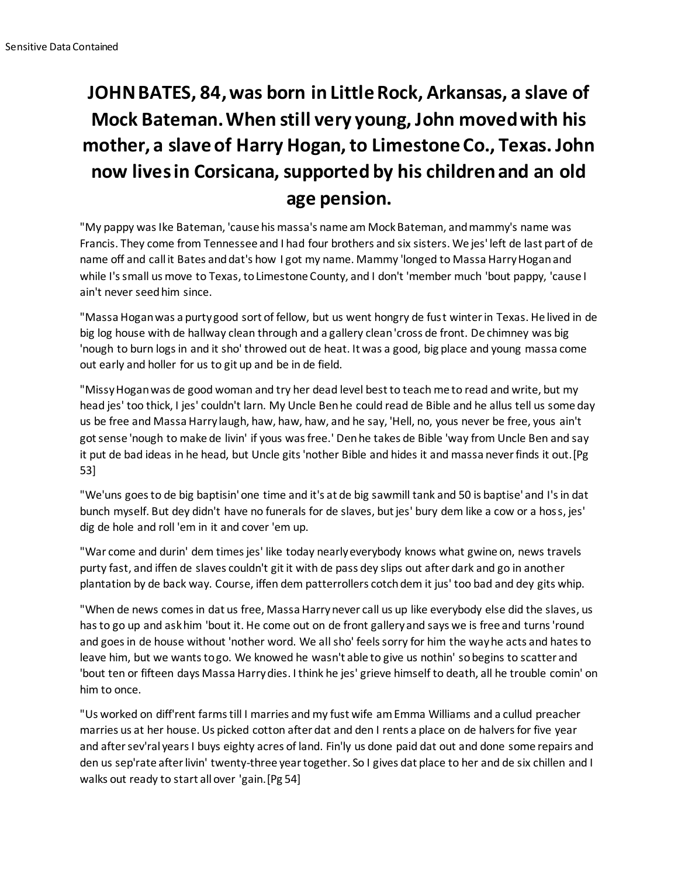## **JOHN BATES, 84, was born in Little Rock, Arkansas, a slave of Mock Bateman. When still very young, John moved with his mother, a slave of Harry Hogan, to Limestone Co., Texas. John now lives in Corsicana, supported by his children and an old age pension.**

"My pappy was Ike Bateman, 'cause his massa's name am Mock Bateman, and mammy's name was Francis. They come from Tennessee and I had four brothers and six sisters. We jes' left de last part of de name off and call it Bates and dat's how I got my name. Mammy 'longed to Massa Harry Hogan and while I's small us move to Texas, to Limestone County, and I don't 'member much 'bout pappy, 'cause I ain't never seed him since.

"Massa Hogan was a purty good sort of fellow, but us went hongry de fust winter in Texas. He lived in de big log house with de hallway clean through and a gallery clean 'cross de front. De chimney was big 'nough to burn logs in and it sho' throwed out de heat. It was a good, big place and young massa come out early and holler for us to git up and be in de field.

"Missy Hogan was de good woman and try her dead level best to teach me to read and write, but my head jes' too thick, I jes' couldn't larn. My Uncle Ben he could read de Bible and he allus tell us some day us be free and Massa Harry laugh, haw, haw, haw, and he say, 'Hell, no, yous never be free, yous ain't got sense 'nough to make de livin' if yous was free.' Den he takes de Bible 'way from Uncle Ben and say it put de bad ideas in he head, but Uncle gits 'nother Bible and hides it and massa never finds it out.[Pg 53]

"We'uns goes to de big baptisin' one time and it's at de big sawmill tank and 50 is baptise' and I's in dat bunch myself. But dey didn't have no funerals for de slaves, but jes' bury dem like a cow or a hoss, jes' dig de hole and roll 'em in it and cover 'em up.

"War come and durin' dem times jes' like today nearly everybody knows what gwine on, news travels purty fast, and iffen de slaves couldn't git it with de pass dey slips out after dark and go in another plantation by de back way. Course, iffen dem patterrollers cotch dem it jus' too bad and dey gits whip.

"When de news comes in dat us free, Massa Harry never call us up like everybody else did the slaves, us has to go up and ask him 'bout it. He come out on de front gallery and says we is free and turns 'round and goes in de house without 'nother word. We all sho' feels sorry for him the way he acts and hates to leave him, but we wants to go. We knowed he wasn't able to give us nothin' so begins to scatter and 'bout ten or fifteen days Massa Harry dies. I think he jes' grieve himself to death, all he trouble comin' on him to once.

"Us worked on diff'rent farms till I marries and my fust wife am Emma Williams and a cullud preacher marries us at her house. Us picked cotton after dat and den I rents a place on de halvers for five year and after sev'ral years I buys eighty acres of land. Fin'ly us done paid dat out and done some repairs and den us sep'rate after livin' twenty-three year together. So I gives dat place to her and de six chillen and I walks out ready to start all over 'gain.[Pg 54]